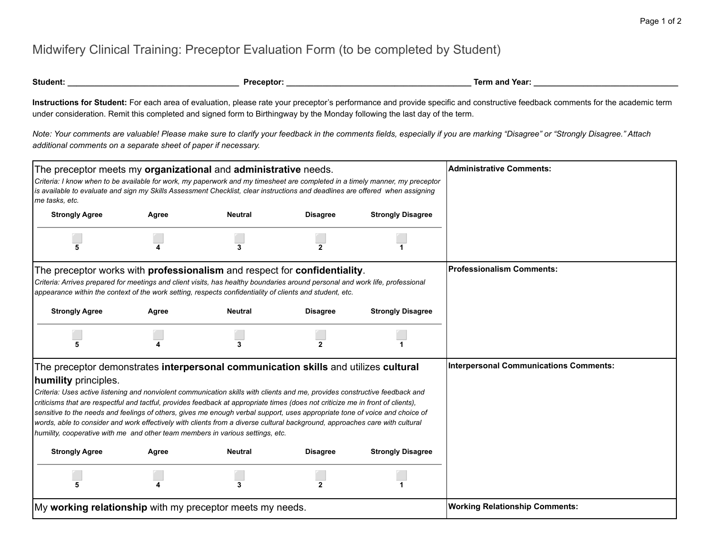## Midwifery Clinical Training: Preceptor Evaluation Form (to be completed by Student)

**Instructions for Student:** For each area of evaluation, please rate your preceptor's performance and provide specific and constructive feedback comments for the academic term under consideration. Remit this completed and signed form to Birthingway by the Monday following the last day of the term.

*Note: Your comments are valuable! Please make sure to clarify your feedback in the comments fields, especially if you are marking "Disagree" or "Strongly Disagree." Attach additional comments on a separate sheet of paper if necessary.*

| The preceptor meets my organizational and administrative needs.<br>Criteria: I know when to be available for work, my paperwork and my timesheet are completed in a timely manner, my preceptor<br>is available to evaluate and sign my Skills Assessment Checklist, clear instructions and deadlines are offered when assigning<br>me tasks, etc.                                                                                                                                                                                                                                                             |       | <b>Administrative Comments:</b>        |                 |                          |                                       |
|----------------------------------------------------------------------------------------------------------------------------------------------------------------------------------------------------------------------------------------------------------------------------------------------------------------------------------------------------------------------------------------------------------------------------------------------------------------------------------------------------------------------------------------------------------------------------------------------------------------|-------|----------------------------------------|-----------------|--------------------------|---------------------------------------|
| <b>Strongly Agree</b>                                                                                                                                                                                                                                                                                                                                                                                                                                                                                                                                                                                          | Agree | <b>Neutral</b>                         | <b>Disagree</b> | <b>Strongly Disagree</b> |                                       |
|                                                                                                                                                                                                                                                                                                                                                                                                                                                                                                                                                                                                                |       | 3                                      | $\mathbf{2}$    |                          |                                       |
| The preceptor works with <b>professionalism</b> and respect for <b>confidentiality</b> .<br>Criteria: Arrives prepared for meetings and client visits, has healthy boundaries around personal and work life, professional<br>appearance within the context of the work setting, respects confidentiality of clients and student, etc.                                                                                                                                                                                                                                                                          |       | <b>Professionalism Comments:</b>       |                 |                          |                                       |
| <b>Strongly Agree</b>                                                                                                                                                                                                                                                                                                                                                                                                                                                                                                                                                                                          | Agree | <b>Neutral</b>                         | <b>Disagree</b> | <b>Strongly Disagree</b> |                                       |
|                                                                                                                                                                                                                                                                                                                                                                                                                                                                                                                                                                                                                |       | 3                                      | 2               |                          |                                       |
| The preceptor demonstrates interpersonal communication skills and utilizes cultural<br>humility principles.                                                                                                                                                                                                                                                                                                                                                                                                                                                                                                    |       | Interpersonal Communications Comments: |                 |                          |                                       |
| Criteria: Uses active listening and nonviolent communication skills with clients and me, provides constructive feedback and<br>criticisms that are respectful and tactful, provides feedback at appropriate times (does not criticize me in front of clients),<br>sensitive to the needs and feelings of others, gives me enough verbal support, uses appropriate tone of voice and choice of<br>words, able to consider and work effectively with clients from a diverse cultural background, approaches care with cultural<br>humility, cooperative with me and other team members in various settings, etc. |       |                                        |                 |                          |                                       |
| <b>Strongly Agree</b>                                                                                                                                                                                                                                                                                                                                                                                                                                                                                                                                                                                          | Agree | <b>Neutral</b>                         | <b>Disagree</b> | <b>Strongly Disagree</b> |                                       |
|                                                                                                                                                                                                                                                                                                                                                                                                                                                                                                                                                                                                                |       | 3                                      |                 |                          |                                       |
| My working relationship with my preceptor meets my needs.                                                                                                                                                                                                                                                                                                                                                                                                                                                                                                                                                      |       |                                        |                 |                          | <b>Working Relationship Comments:</b> |